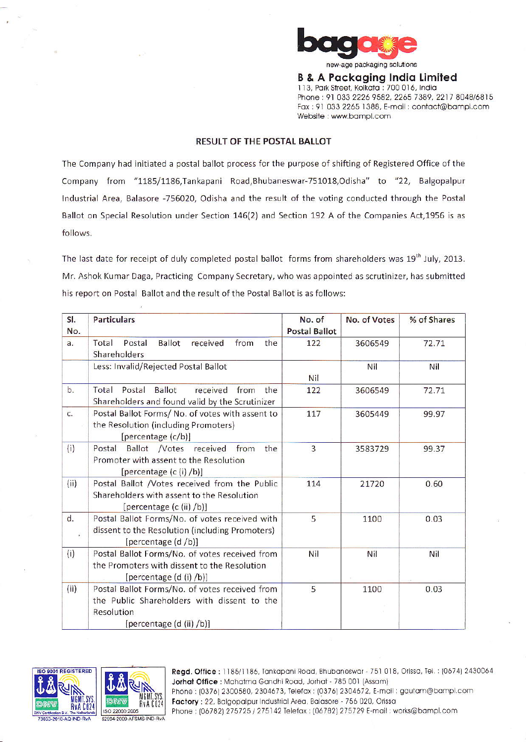

**B & A Packaging India Limited** 113, Park Street, Kolkata : 700 016, India Phone: 91 033 2226 9582, 2265 7389, 2217 8048/6815 Fax: 91 033 2265 1388, E-mail: contact@bampl.com Website : www.bampl.com

## RESULT OF THE POSTAL BALLOT

The Company had initiated a postal ballot process for the purpose of shifting of Registered Office of the Company from "1185/1186, Tankapani Road, Bhubaneswar-751018, Odisha" to "22, Balgopalpur Industrial Area, Balasore -756020, Odisha and the result of the voting conducted through the Postal Ballot on Special Resolution under Section 146(2) and Section 192 A of the Companies Act, 1956 is as follows.

The last date for receipt of duly completed postal ballot forms from shareholders was 19<sup>th</sup> July, 2013. Mr. Ashok Kumar Daga, Practicing Company Secretary, who was appointed as scrutinizer, has submitted his report on Postal Ballot and the result of the Postal Ballot is as follows:

| SI.<br>No. | <b>Particulars</b>                                                                                                                      | No. of<br><b>Postal Ballot</b> | No. of Votes | % of Shares |
|------------|-----------------------------------------------------------------------------------------------------------------------------------------|--------------------------------|--------------|-------------|
| a.         | Total<br>Postal<br>Ballot<br>received<br>from<br>the<br>Shareholders                                                                    | 122                            | 3606549      | 72.71       |
|            | Less: Invalid/Rejected Postal Ballot                                                                                                    | Nil                            | Nil          | Nil         |
| b.         | Postal Ballot<br>Total<br>received from<br>the<br>Shareholders and found valid by the Scrutinizer                                       | 122                            | 3606549      | 72.71       |
| c.         | Postal Ballot Forms/ No. of votes with assent to<br>the Resolution (including Promoters)<br>[percentage (c/b)]                          | 117                            | 3605449      | 99.97       |
| (i)        | Ballot /Votes received<br>Postal<br>from<br>the<br>Promoter with assent to the Resolution<br>[percentage (c (i) /b)]                    | $\overline{3}$                 | 3583729      | 99.37       |
| (ii)       | Postal Ballot /Votes received from the Public<br>Shareholders with assent to the Resolution<br>[percentage (c (ii) /b)]                 | 114                            | 21720        | 0.60        |
| d.<br>W.   | Postal Ballot Forms/No. of votes received with<br>dissent to the Resolution (including Promoters)<br>[percentage (d /b)]                | 5                              | 1100         | 0.03        |
| (i)        | Postal Ballot Forms/No. of votes received from<br>the Promoters with dissent to the Resolution<br>[percentage (d (i) /b)]               | Nil                            | Nil          | Nil         |
| (ii)       | Postal Ballot Forms/No. of votes received from<br>the Public Shareholders with dissent to the<br>Resolution<br>[percentage (d (ii) /b)] | 5                              | 1100         | 0.03        |





Regd. Office: 1185/1186, Tankapani Road, Bhubaneswar - 751 018, Orissa, Tel.: (0674) 2430064 Jorhat Office: Mahatma Gandhi Road, Jorhat - 785 001 (Assam) Phone: (0376) 2300580, 2304673, Telefax: (0376) 2304672, E-mail: gautam@bampl.com Factory: 22, Balgopalpur Industrial Area, Balasore - 756 020, Orissa Phone: (06782) 275725 / 275142 Telefax: (06782) 275729 E-mail: works@bampl.com